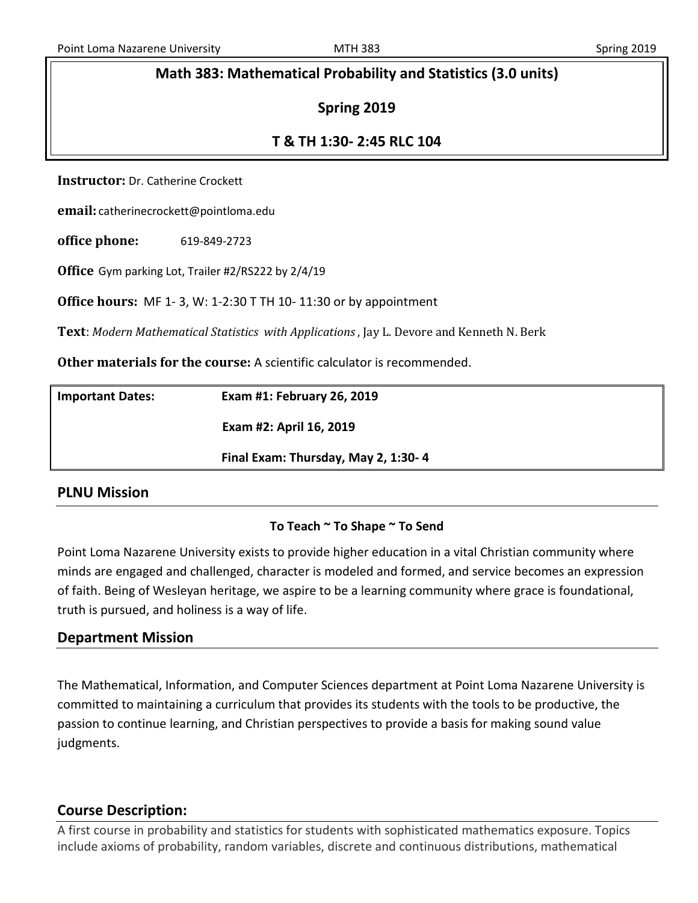## **Math 383: Mathematical Probability and Statistics (3.0 units)**

## **Spring 2019**

## **T & TH 1:30- 2:45 RLC 104**

**Instructor:** Dr. Catherine Crockett

**email:** catherinecrockett@pointloma.edu

**office phone:** 619-849-2723

**Office** Gym parking Lot, Trailer #2/RS222 by 2/4/19

**Office hours:** MF 1- 3, W: 1-2:30 T TH 10- 11:30 or by appointment

**Text**: *Modern Mathematical Statistics with Applications* , Jay L. Devore and Kenneth N. Berk

**Other materials for the course:** A scientific calculator is recommended.

| <b>Important Dates:</b> | Exam #1: February 26, 2019          |
|-------------------------|-------------------------------------|
|                         | Exam #2: April 16, 2019             |
|                         | Final Exam: Thursday, May 2, 1:30-4 |

## **PLNU Mission**

### **To Teach ~ To Shape ~ To Send**

Point Loma Nazarene University exists to provide higher education in a vital Christian community where minds are engaged and challenged, character is modeled and formed, and service becomes an expression of faith. Being of Wesleyan heritage, we aspire to be a learning community where grace is foundational, truth is pursued, and holiness is a way of life.

## **Department Mission**

The Mathematical, Information, and Computer Sciences department at Point Loma Nazarene University is committed to maintaining a curriculum that provides its students with the tools to be productive, the passion to continue learning, and Christian perspectives to provide a basis for making sound value judgments.

## **Course Description:**

A first course in probability and statistics for students with sophisticated mathematics exposure. Topics include axioms of probability, random variables, discrete and continuous distributions, mathematical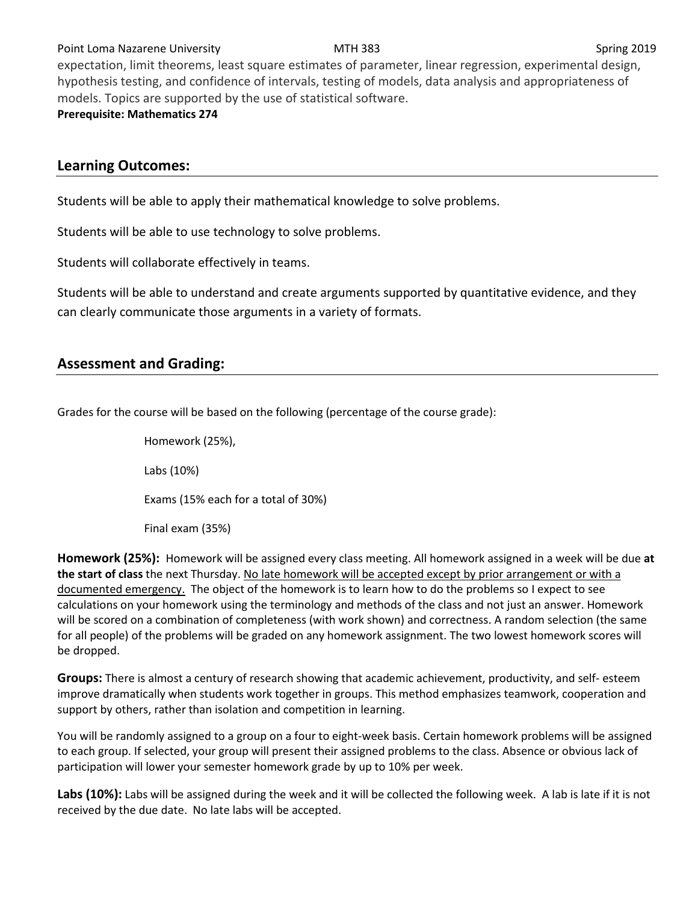### Point Loma Nazarene University **MTH 383** Spring 2019

expectation, limit theorems, least square estimates of parameter, linear regression, experimental design, hypothesis testing, and confidence of intervals, testing of models, data analysis and appropriateness of models. Topics are supported by the use of statistical software. **Prerequisite: Mathematics 274**

## **Learning Outcomes:**

Students will be able to apply their mathematical knowledge to solve problems.

Students will be able to use technology to solve problems.

Students will collaborate effectively in teams.

Students will be able to understand and create arguments supported by quantitative evidence, and they can clearly communicate those arguments in a variety of formats.

# **Assessment and Grading:**

Grades for the course will be based on the following (percentage of the course grade):

Homework (25%), Labs (10%) Exams (15% each for a total of 30%) Final exam (35%)

**Homework (25%):** Homework will be assigned every class meeting. All homework assigned in a week will be due **at the start of class** the next Thursday. No late homework will be accepted except by prior arrangement or with a documented emergency. The object of the homework is to learn how to do the problems so I expect to see calculations on your homework using the terminology and methods of the class and not just an answer. Homework will be scored on a combination of completeness (with work shown) and correctness. A random selection (the same for all people) of the problems will be graded on any homework assignment. The two lowest homework scores will be dropped.

**Groups:** There is almost a century of research showing that academic achievement, productivity, and self- esteem improve dramatically when students work together in groups. This method emphasizes teamwork, cooperation and support by others, rather than isolation and competition in learning.

You will be randomly assigned to a group on a four to eight-week basis. Certain homework problems will be assigned to each group. If selected, your group will present their assigned problems to the class. Absence or obvious lack of participation will lower your semester homework grade by up to 10% per week.

**Labs (10%):** Labs will be assigned during the week and it will be collected the following week. A lab is late if it is not received by the due date. No late labs will be accepted.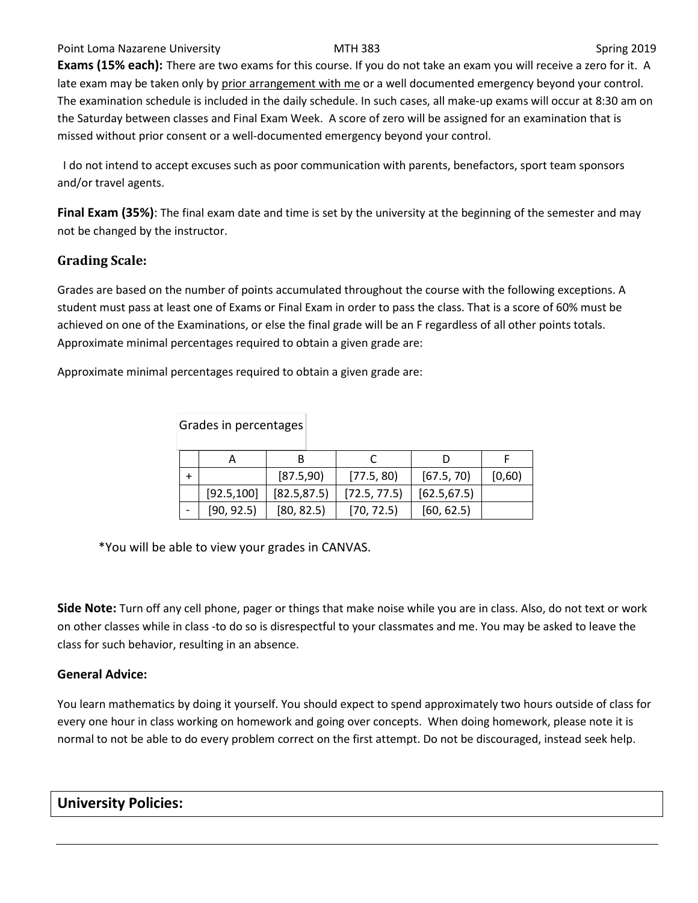### Point Loma Nazarene University **MTH 383** NOST 100 Spring 2019

**Exams (15% each):** There are two exams for this course. If you do not take an exam you will receive a zero for it. A late exam may be taken only by prior arrangement with me or a well documented emergency beyond your control. The examination schedule is included in the daily schedule. In such cases, all make-up exams will occur at 8:30 am on the Saturday between classes and Final Exam Week. A score of zero will be assigned for an examination that is missed without prior consent or a well-documented emergency beyond your control.

I do not intend to accept excuses such as poor communication with parents, benefactors, sport team sponsors and/or travel agents.

**Final Exam (35%)**: The final exam date and time is set by the university at the beginning of the semester and may not be changed by the instructor.

## **Grading Scale:**

Grades are based on the number of points accumulated throughout the course with the following exceptions. A student must pass at least one of Exams or Final Exam in order to pass the class. That is a score of 60% must be achieved on one of the Examinations, or else the final grade will be an F regardless of all other points totals. Approximate minimal percentages required to obtain a given grade are:

Approximate minimal percentages required to obtain a given grade are:

| Grades in percentages |             |              |              |              |        |
|-----------------------|-------------|--------------|--------------|--------------|--------|
|                       | A           | В            |              |              |        |
| ÷                     |             | [87.5,90]    | [77.5, 80]   | [67.5, 70]   | [0,60) |
|                       | [92.5, 100] | [82.5, 87.5] | [72.5, 77.5] | [62.5, 67.5] |        |
|                       | [90, 92.5]  | [80, 82.5]   | [70, 72.5]   | [60, 62.5]   |        |

\*You will be able to view your grades in CANVAS.

**Side Note:** Turn off any cell phone, pager or things that make noise while you are in class. Also, do not text or work on other classes while in class -to do so is disrespectful to your classmates and me. You may be asked to leave the class for such behavior, resulting in an absence.

### **General Advice:**

You learn mathematics by doing it yourself. You should expect to spend approximately two hours outside of class for every one hour in class working on homework and going over concepts. When doing homework, please note it is normal to not be able to do every problem correct on the first attempt. Do not be discouraged, instead seek help.

## **University Policies:**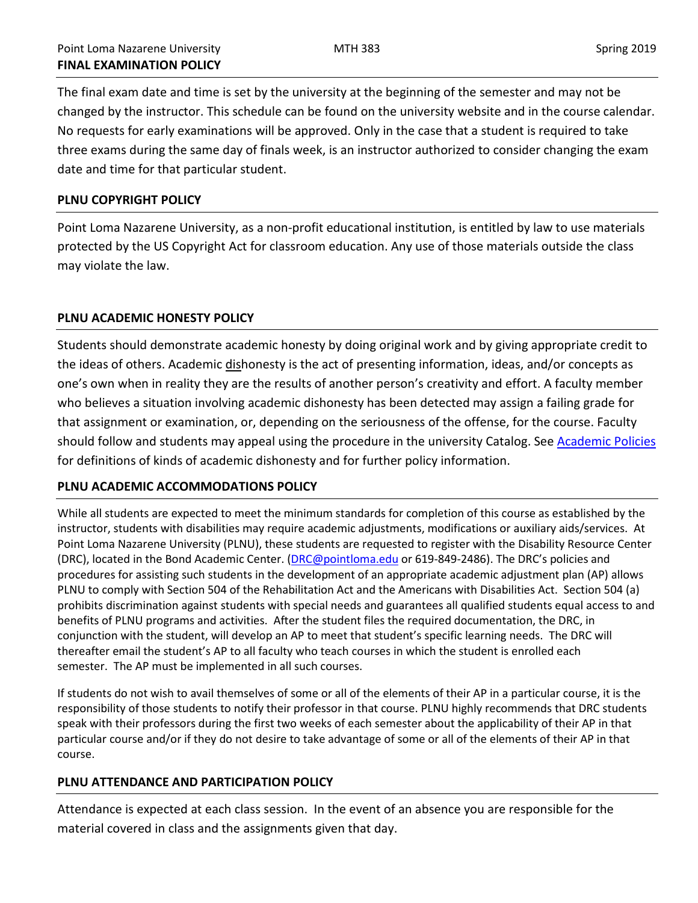The final exam date and time is set by the university at the beginning of the semester and may not be changed by the instructor. This schedule can be found on the university website and in the course calendar. No requests for early examinations will be approved. Only in the case that a student is required to take three exams during the same day of finals week, is an instructor authorized to consider changing the exam date and time for that particular student.

### **PLNU COPYRIGHT POLICY**

Point Loma Nazarene University, as a non-profit educational institution, is entitled by law to use materials protected by the US Copyright Act for classroom education. Any use of those materials outside the class may violate the law.

### **PLNU ACADEMIC HONESTY POLICY**

Students should demonstrate academic honesty by doing original work and by giving appropriate credit to the ideas of others. Academic dishonesty is the act of presenting information, ideas, and/or concepts as one's own when in reality they are the results of another person's creativity and effort. A faculty member who believes a situation involving academic dishonesty has been detected may assign a failing grade for that assignment or examination, or, depending on the seriousness of the offense, for the course. Faculty should follow and students may appeal using the procedure in the university Catalog. Se[e Academic Policies](http://catalog.pointloma.edu/content.php?catoid=18&navoid=1278) for definitions of kinds of academic dishonesty and for further policy information.

### **PLNU ACADEMIC ACCOMMODATIONS POLICY**

While all students are expected to meet the minimum standards for completion of this course as established by the instructor, students with disabilities may require academic adjustments, modifications or auxiliary aids/services. At Point Loma Nazarene University (PLNU), these students are requested to register with the Disability Resource Center (DRC), located in the Bond Academic Center. [\(DRC@pointloma.edu](mailto:DRC@pointloma.edu) or 619-849-2486). The DRC's policies and procedures for assisting such students in the development of an appropriate academic adjustment plan (AP) allows PLNU to comply with Section 504 of the Rehabilitation Act and the Americans with Disabilities Act. Section 504 (a) prohibits discrimination against students with special needs and guarantees all qualified students equal access to and benefits of PLNU programs and activities. After the student files the required documentation, the DRC, in conjunction with the student, will develop an AP to meet that student's specific learning needs. The DRC will thereafter email the student's AP to all faculty who teach courses in which the student is enrolled each semester. The AP must be implemented in all such courses.

If students do not wish to avail themselves of some or all of the elements of their AP in a particular course, it is the responsibility of those students to notify their professor in that course. PLNU highly recommends that DRC students speak with their professors during the first two weeks of each semester about the applicability of their AP in that particular course and/or if they do not desire to take advantage of some or all of the elements of their AP in that course.

### **PLNU ATTENDANCE AND PARTICIPATION POLICY**

Attendance is expected at each class session. In the event of an absence you are responsible for the material covered in class and the assignments given that day.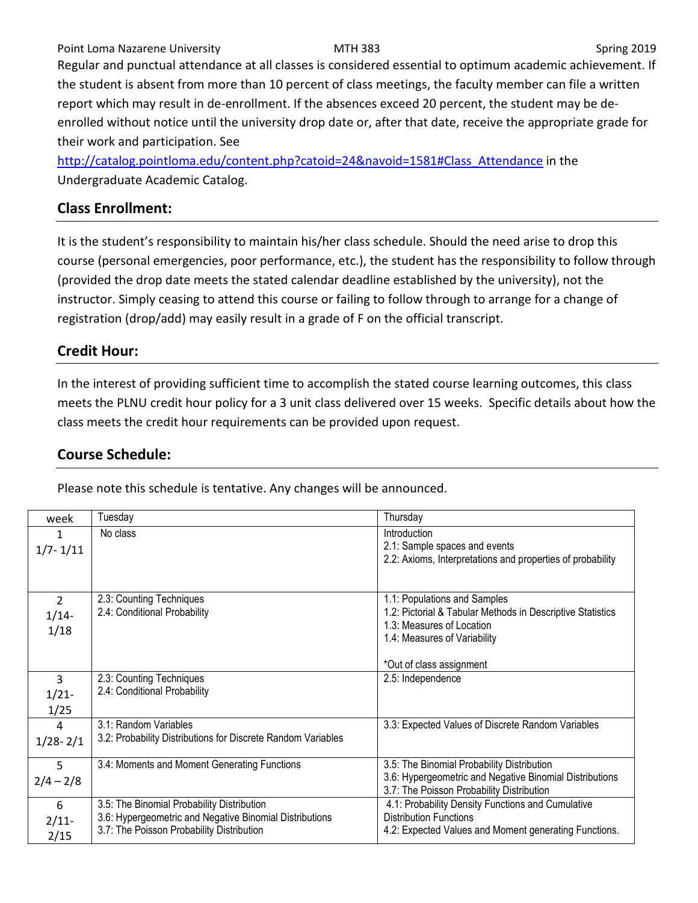Point Loma Nazarene University **MTH 383** MTH 383 Spring 2019 Regular and punctual attendance at all classes is considered essential to optimum academic achievement. If the student is absent from more than 10 percent of class meetings, the faculty member can file a written report which may result in de-enrollment. If the absences exceed 20 percent, the student may be deenrolled without notice until the university drop date or, after that date, receive the appropriate grade for their work and participation. See

[http://catalog.pointloma.edu/content.php?catoid=24&navoid=1581#Class\\_Attendance](http://catalog.pointloma.edu/content.php?catoid=24&navoid=1581#Class_Attendance) in the Undergraduate Academic Catalog.

# **Class Enrollment:**

It is the student's responsibility to maintain his/her class schedule. Should the need arise to drop this course (personal emergencies, poor performance, etc.), the student has the responsibility to follow through (provided the drop date meets the stated calendar deadline established by the university), not the instructor. Simply ceasing to attend this course or failing to follow through to arrange for a change of registration (drop/add) may easily result in a grade of F on the official transcript.

# **Credit Hour:**

In the interest of providing sufficient time to accomplish the stated course learning outcomes, this class meets the PLNU credit hour policy for a 3 unit class delivered over 15 weeks. Specific details about how the class meets the credit hour requirements can be provided upon request.

# **Course Schedule:**

Please note this schedule is tentative. Any changes will be announced.

| week                               | Tuesday                                                                                                                                            | Thursday                                                                                                                                                                            |
|------------------------------------|----------------------------------------------------------------------------------------------------------------------------------------------------|-------------------------------------------------------------------------------------------------------------------------------------------------------------------------------------|
| $1/7 - 1/11$                       | No class                                                                                                                                           | Introduction<br>2.1: Sample spaces and events<br>2.2: Axioms, Interpretations and properties of probability                                                                         |
| $\overline{2}$<br>$1/14$ -<br>1/18 | 2.3: Counting Techniques<br>2.4: Conditional Probability                                                                                           | 1.1: Populations and Samples<br>1.2: Pictorial & Tabular Methods in Descriptive Statistics<br>1.3: Measures of Location<br>1.4: Measures of Variability<br>*Out of class assignment |
| 3<br>$1/21 -$<br>1/25              | 2.3: Counting Techniques<br>2.4: Conditional Probability                                                                                           | 2.5: Independence                                                                                                                                                                   |
| 4<br>$1/28 - 2/1$                  | 3.1: Random Variables<br>3.2: Probability Distributions for Discrete Random Variables                                                              | 3.3: Expected Values of Discrete Random Variables                                                                                                                                   |
| 5<br>$2/4 - 2/8$                   | 3.4: Moments and Moment Generating Functions                                                                                                       | 3.5: The Binomial Probability Distribution<br>3.6: Hypergeometric and Negative Binomial Distributions<br>3.7: The Poisson Probability Distribution                                  |
| 6<br>$2/11$ -<br>2/15              | 3.5: The Binomial Probability Distribution<br>3.6: Hypergeometric and Negative Binomial Distributions<br>3.7: The Poisson Probability Distribution | 4.1: Probability Density Functions and Cumulative<br><b>Distribution Functions</b><br>4.2: Expected Values and Moment generating Functions.                                         |